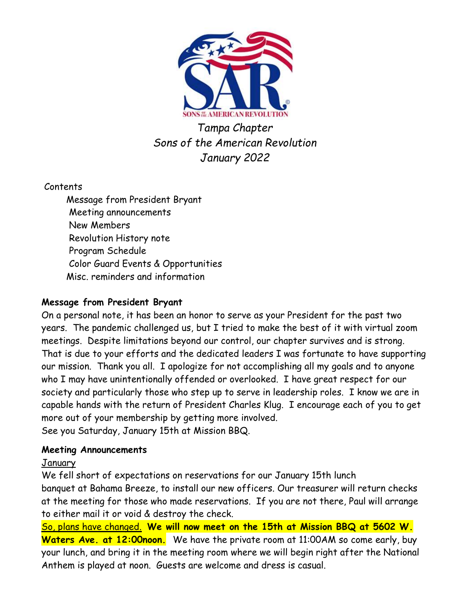

Tampa Chapter Sons of the American Revolution January 2022

Contents

 Message from President Bryant Meeting announcements New Members Revolution History note Program Schedule Color Guard Events & Opportunities Misc. reminders and information

# Message from President Bryant

On a personal note, it has been an honor to serve as your President for the past two years. The pandemic challenged us, but I tried to make the best of it with virtual zoom meetings. Despite limitations beyond our control, our chapter survives and is strong. That is due to your efforts and the dedicated leaders I was fortunate to have supporting our mission. Thank you all. I apologize for not accomplishing all my goals and to anyone who I may have unintentionally offended or overlooked. I have great respect for our society and particularly those who step up to serve in leadership roles. I know we are in capable hands with the return of President Charles Klug. I encourage each of you to get more out of your membership by getting more involved. See you Saturday, January 15th at Mission BBQ.

## Meeting Announcements

## January

We fell short of expectations on reservations for our January 15th lunch banquet at Bahama Breeze, to install our new officers. Our treasurer will return checks at the meeting for those who made reservations. If you are not there, Paul will arrange to either mail it or void & destroy the check.

So, plans have changed. We will now meet on the 15th at Mission BBQ at 5602 W. Waters Ave. at 12:00noon. We have the private room at 11:00AM so come early, buy your lunch, and bring it in the meeting room where we will begin right after the National Anthem is played at noon. Guests are welcome and dress is casual.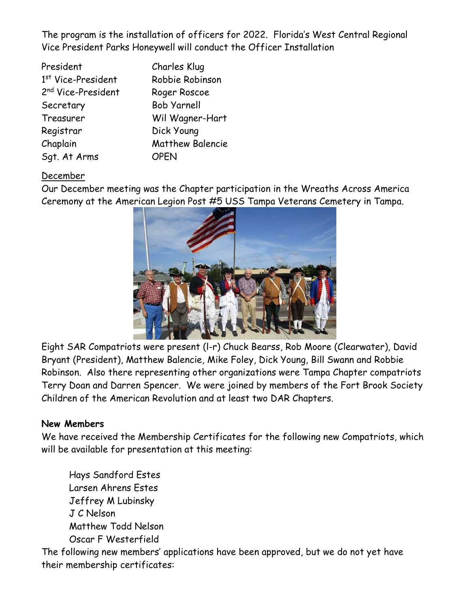The program is the installation of officers for 2022. Florida's West Central Regional Vice President Parks Honeywell will conduct the Officer Installation

| President                      | Charles Klug            |
|--------------------------------|-------------------------|
| 1st Vice-President             | Robbie Robinson         |
| 2 <sup>nd</sup> Vice-President | Roger Roscoe            |
| Secretary                      | <b>Bob Yarnell</b>      |
| Treasurer                      | Wil Wagner-Hart         |
| Registrar                      | Dick Young              |
| Chaplain                       | <b>Matthew Balencie</b> |
| Sqt. At Arms                   | <b>OPEN</b>             |

# December

Our December meeting was the Chapter participation in the Wreaths Across America Ceremony at the American Legion Post #5 USS Tampa Veterans Cemetery in Tampa.



Eight SAR Compatriots were present (l-r) Chuck Bearss, Rob Moore (Clearwater), David Bryant (President), Matthew Balencie, Mike Foley, Dick Young, Bill Swann and Robbie Robinson. Also there representing other organizations were Tampa Chapter compatriots Terry Doan and Darren Spencer. We were joined by members of the Fort Brook Society Children of the American Revolution and at least two DAR Chapters.

## New Members

We have received the Membership Certificates for the following new Compatriots, which will be available for presentation at this meeting:

 Hays Sandford Estes Larsen Ahrens Estes Jeffrey M Lubinsky J C Nelson Matthew Todd Nelson Oscar F Westerfield

The following new members' applications have been approved, but we do not yet have their membership certificates: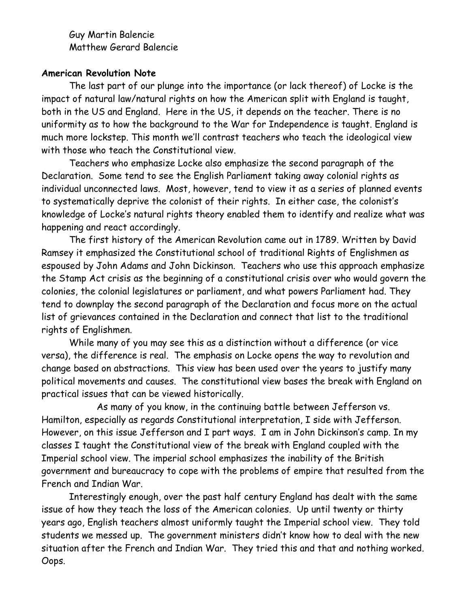Guy Martin Balencie Matthew Gerard Balencie

### American Revolution Note

 The last part of our plunge into the importance (or lack thereof) of Locke is the impact of natural law/natural rights on how the American split with England is taught, both in the US and England. Here in the US, it depends on the teacher. There is no uniformity as to how the background to the War for Independence is taught. England is much more lockstep. This month we'll contrast teachers who teach the ideological view with those who teach the Constitutional view.

 Teachers who emphasize Locke also emphasize the second paragraph of the Declaration. Some tend to see the English Parliament taking away colonial rights as individual unconnected laws. Most, however, tend to view it as a series of planned events to systematically deprive the colonist of their rights. In either case, the colonist's knowledge of Locke's natural rights theory enabled them to identify and realize what was happening and react accordingly.

 The first history of the American Revolution came out in 1789. Written by David Ramsey it emphasized the Constitutional school of traditional Rights of Englishmen as espoused by John Adams and John Dickinson. Teachers who use this approach emphasize the Stamp Act crisis as the beginning of a constitutional crisis over who would govern the colonies, the colonial legislatures or parliament, and what powers Parliament had. They tend to downplay the second paragraph of the Declaration and focus more on the actual list of grievances contained in the Declaration and connect that list to the traditional rights of Englishmen.

 While many of you may see this as a distinction without a difference (or vice versa), the difference is real. The emphasis on Locke opens the way to revolution and change based on abstractions. This view has been used over the years to justify many political movements and causes. The constitutional view bases the break with England on practical issues that can be viewed historically.

 As many of you know, in the continuing battle between Jefferson vs. Hamilton, especially as regards Constitutional interpretation, I side with Jefferson. However, on this issue Jefferson and I part ways. I am in John Dickinson's camp. In my classes I taught the Constitutional view of the break with England coupled with the Imperial school view. The imperial school emphasizes the inability of the British government and bureaucracy to cope with the problems of empire that resulted from the French and Indian War.

 Interestingly enough, over the past half century England has dealt with the same issue of how they teach the loss of the American colonies. Up until twenty or thirty years ago, English teachers almost uniformly taught the Imperial school view. They told students we messed up. The government ministers didn't know how to deal with the new situation after the French and Indian War. They tried this and that and nothing worked. Oops.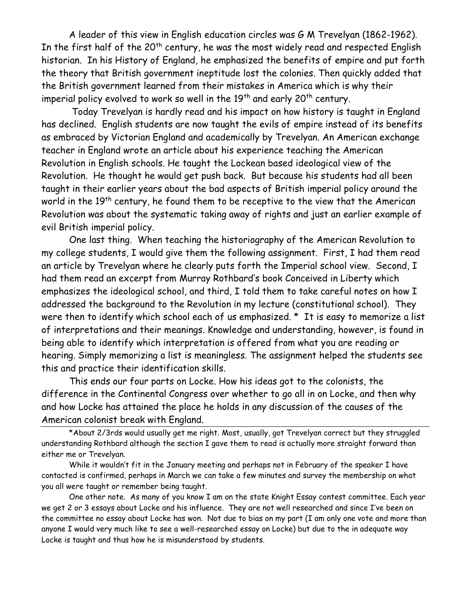A leader of this view in English education circles was G M Trevelyan (1862-1962). In the first half of the  $20<sup>th</sup>$  century, he was the most widely read and respected English historian. In his History of England, he emphasized the benefits of empire and put forth the theory that British government ineptitude lost the colonies. Then quickly added that the British government learned from their mistakes in America which is why their imperial policy evolved to work so well in the  $19<sup>th</sup>$  and early 20<sup>th</sup> century.

 Today Trevelyan is hardly read and his impact on how history is taught in England has declined. English students are now taught the evils of empire instead of its benefits as embraced by Victorian England and academically by Trevelyan. An American exchange teacher in England wrote an article about his experience teaching the American Revolution in English schools. He taught the Lockean based ideological view of the Revolution. He thought he would get push back. But because his students had all been taught in their earlier years about the bad aspects of British imperial policy around the world in the 19<sup>th</sup> century, he found them to be receptive to the view that the American Revolution was about the systematic taking away of rights and just an earlier example of evil British imperial policy.

 One last thing. When teaching the historiography of the American Revolution to my college students, I would give them the following assignment. First, I had them read an article by Trevelyan where he clearly puts forth the Imperial school view. Second, I had them read an excerpt from Murray Rothbard's book Conceived in Liberty which emphasizes the ideological school, and third, I told them to take careful notes on how I addressed the background to the Revolution in my lecture (constitutional school). They were then to identify which school each of us emphasized. \* It is easy to memorize a list of interpretations and their meanings. Knowledge and understanding, however, is found in being able to identify which interpretation is offered from what you are reading or hearing. Simply memorizing a list is meaningless. The assignment helped the students see this and practice their identification skills.

 This ends our four parts on Locke. How his ideas got to the colonists, the difference in the Continental Congress over whether to go all in on Locke, and then why and how Locke has attained the place he holds in any discussion of the causes of the American colonist break with England.

\*About 2/3rds would usually get me right. Most, usually, got Trevelyan correct but they struggled understanding Rothbard although the section I gave them to read is actually more straight forward than either me or Trevelyan.

 While it wouldn't fit in the January meeting and perhaps not in February of the speaker I have contacted is confirmed, perhaps in March we can take a few minutes and survey the membership on what you all were taught or remember being taught.

 One other note. As many of you know I am on the state Knight Essay contest committee. Each year we get 2 or 3 essays about Locke and his influence. They are not well researched and since I've been on the committee no essay about Locke has won. Not due to bias on my part (I am only one vote and more than anyone I would very much like to see a well-researched essay on Locke) but due to the in adequate way Locke is taught and thus how he is misunderstood by students.